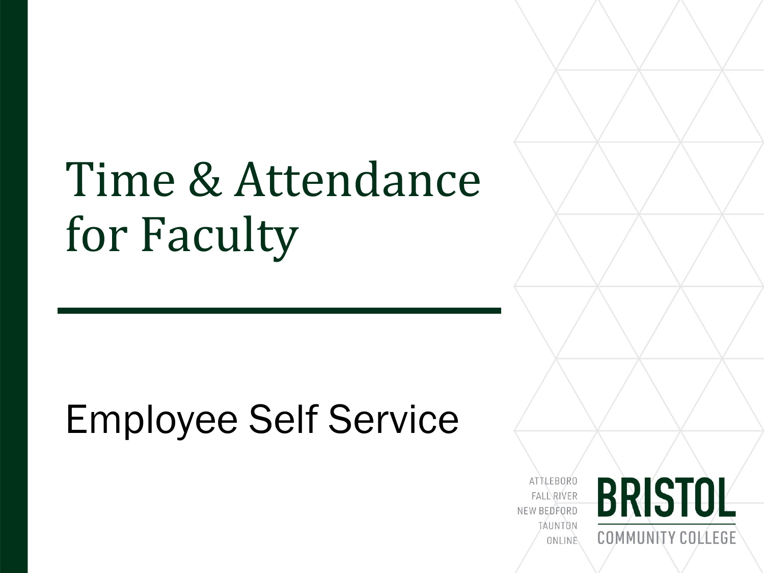# Time & Attendance for Faculty

## Employee Self Service

**ATTLEBORO FALL RIVER** NEW BEDFORD TAUNTON ONLINE

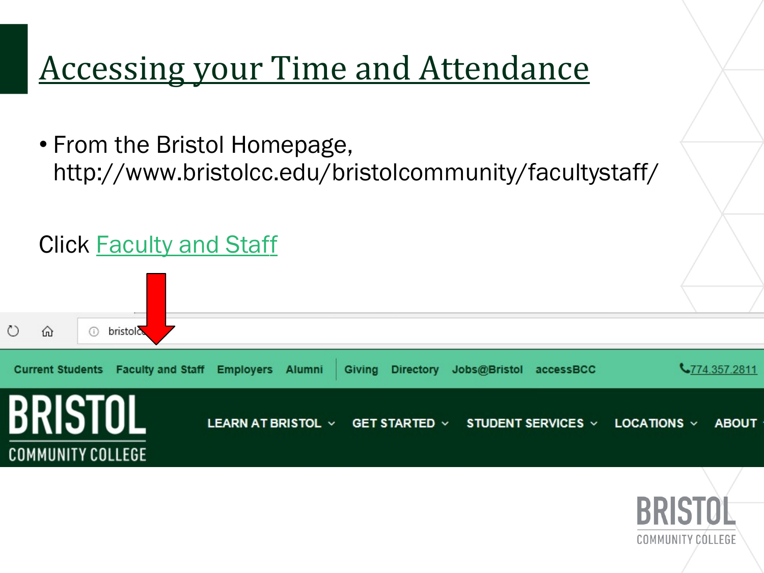## Accessing your Time and Attendance

• From the Bristol Homepage, http://www.bristolcc.edu/bristolcommunity/facultystaff/

#### Click [Faculty and Staff](http://www.bristolcc.edu/bristolcommunity/facultystaff/)



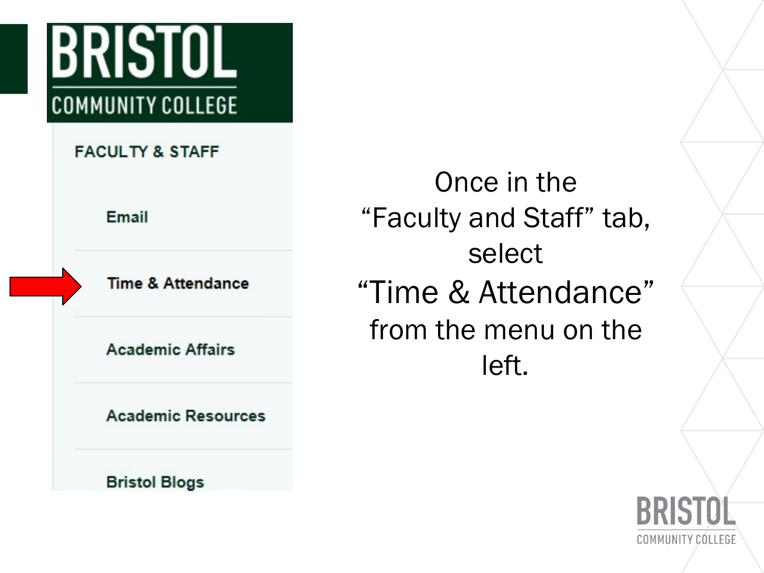## BRISIUL **COMMUNITY COLLEGE**

**FACULTY & STAFF** 

Email

**Time & Attendance** 

**Academic Affairs** 

**Academic Resources** 

**Bristol Blogs** 

Once in the "Faculty and Staff" tab, select "Time & Attendance" from the menu on the left.

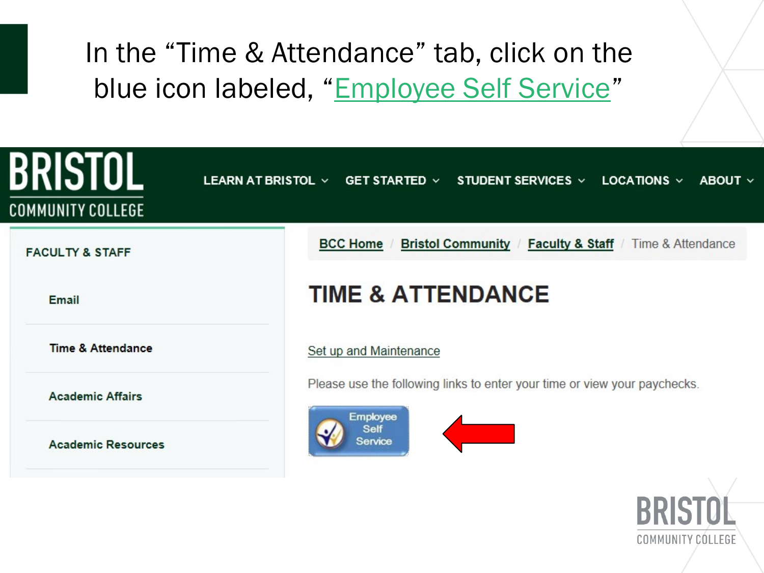### In the "Time & Attendance" tab, click on the blue icon labeled, "Employee Self Service"



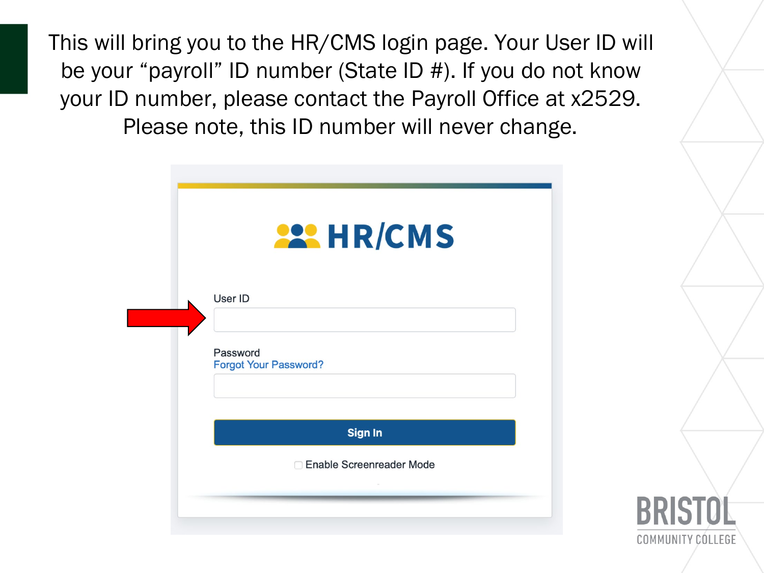This will bring you to the HR/CMS login page. Your User ID will be your "payroll" ID number (State ID #). If you do not know your ID number, please contact the Payroll Office at x2529. Please note, this ID number will never change.

| <b>222 HR/CMS</b>                        |  |
|------------------------------------------|--|
| User ID                                  |  |
|                                          |  |
| Password<br><b>Forgot Your Password?</b> |  |
|                                          |  |
| <b>Sign In</b>                           |  |

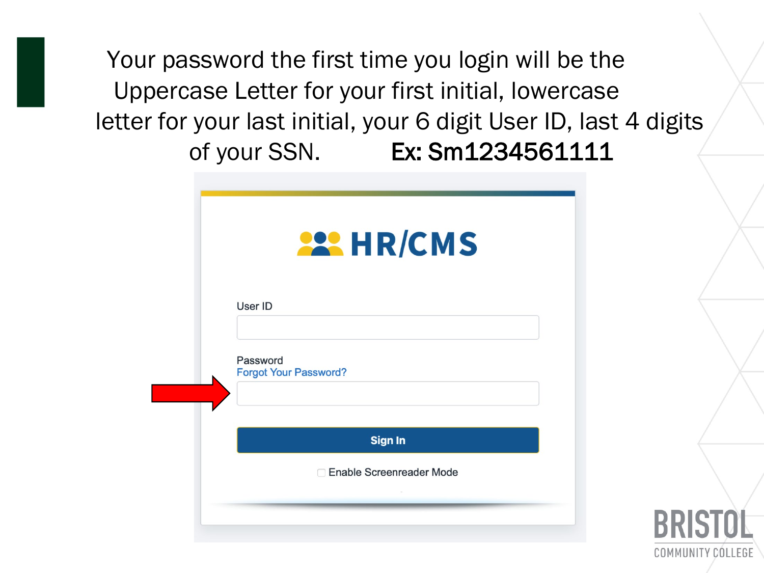Your password the first time you login will be the Uppercase Letter for your first initial, lowercase letter for your last initial, your 6 digit User ID, last 4 digits of your SSN. Ex: Sm1234561111

| User ID                                  |  |
|------------------------------------------|--|
|                                          |  |
| Password<br><b>Forgot Your Password?</b> |  |
| <b>Sign In</b>                           |  |

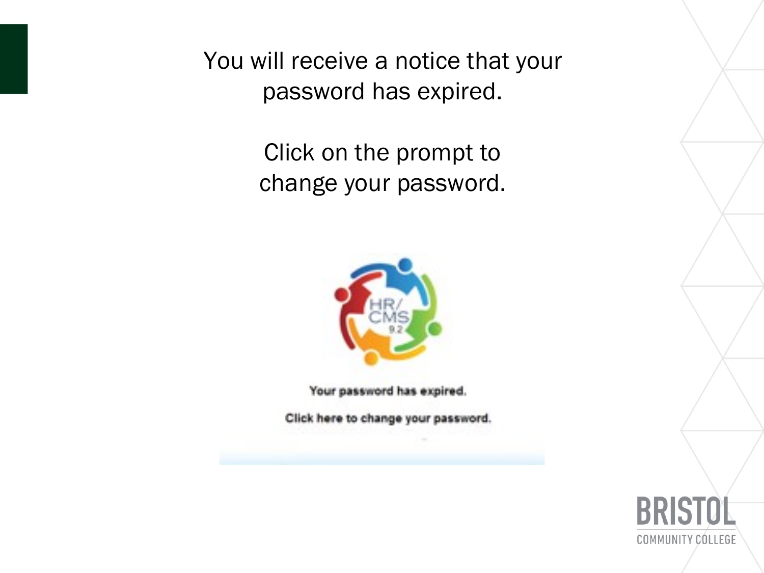You will receive a notice that your password has expired.

> Click on the prompt to change your password.



Your password has expired.

Click here to change your password.

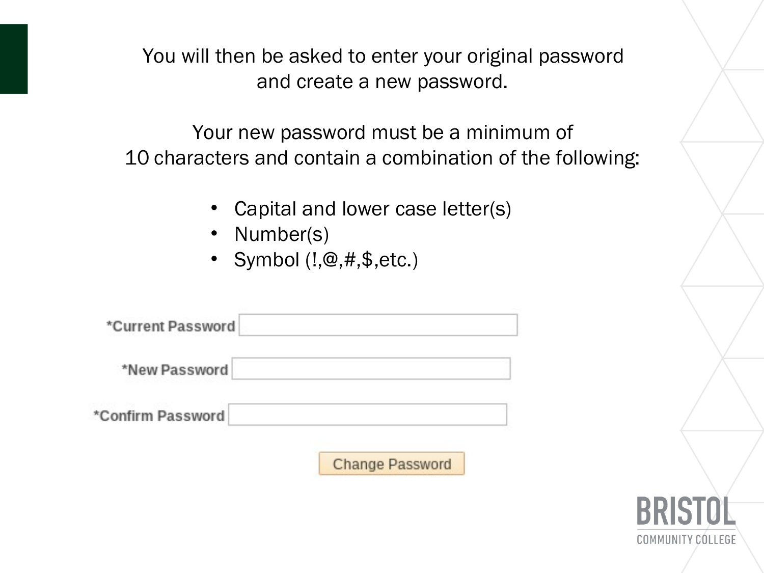You will then be asked to enter your original password and create a new password.

Your new password must be a minimum of 10 characters and contain a combination of the following:

- Capital and lower case letter(s)
- Number(s)

á,

• Symbol (!,@,#,\$,etc.)

| *Current Password       |                        |
|-------------------------|------------------------|
| *New Password           |                        |
| <b>Confirm Password</b> |                        |
|                         | <b>Change Password</b> |

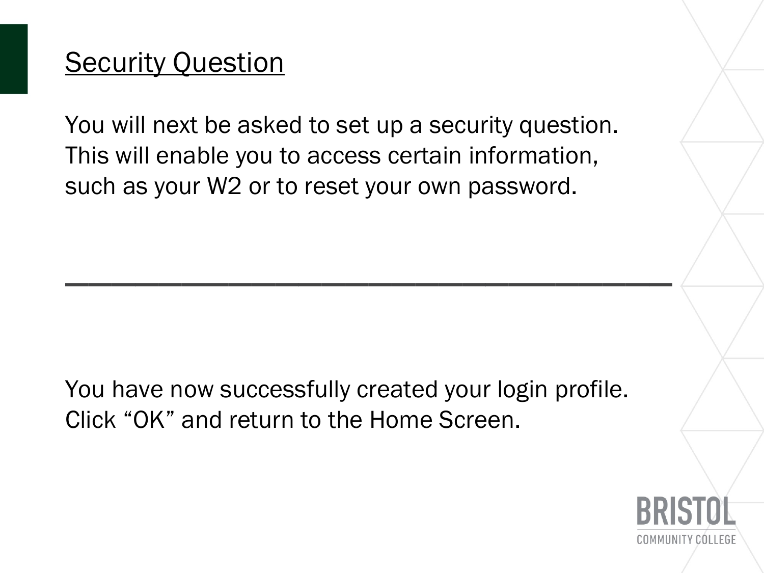### **Security Question**

You will next be asked to set up a security question. This will enable you to access certain information, such as your W2 or to reset your own password.

\_\_\_\_\_\_\_\_\_\_\_\_\_\_\_\_\_\_\_\_\_\_\_\_\_\_

You have now successfully created your login profile. Click "OK" and return to the Home Screen.

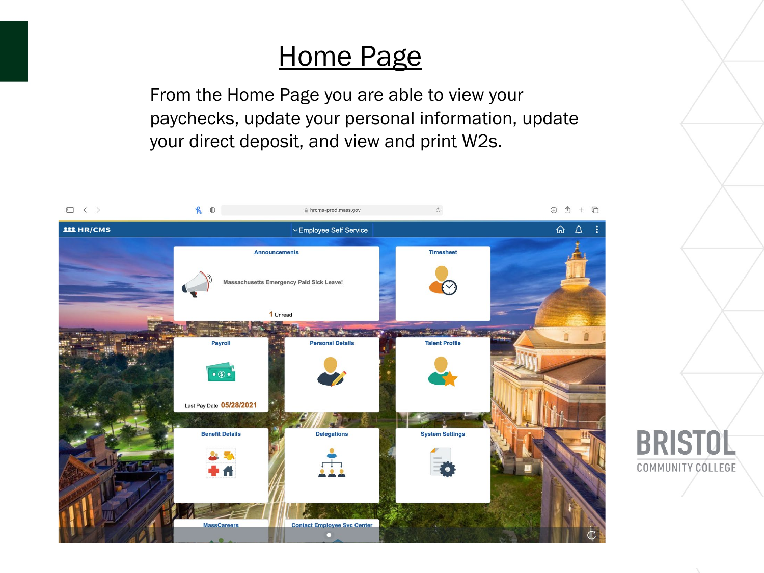### Home Page

From the Home Page you are able to view your paychecks, update your personal information, update your direct deposit, and view and print W2s.



**BRISTOL** 

**COMMUNITY CÓLLEGE**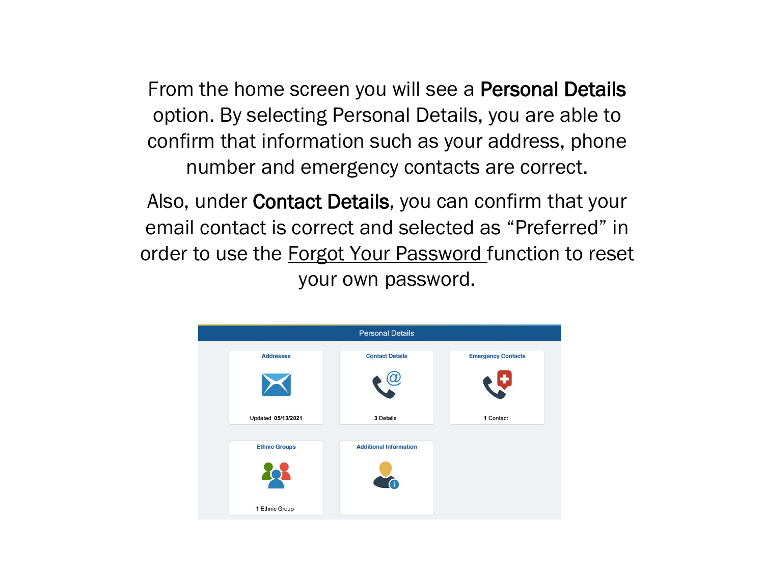From the home screen you will see a **Personal Details** option. By selecting Personal Details, you are able to confirm that information such as your address, phone number and emergency contacts are correct.

Also, under Contact Details, you can confirm that your email contact is correct and selected as "Preferred" in order to use the **Forgot Your Password** function to reset your own password.